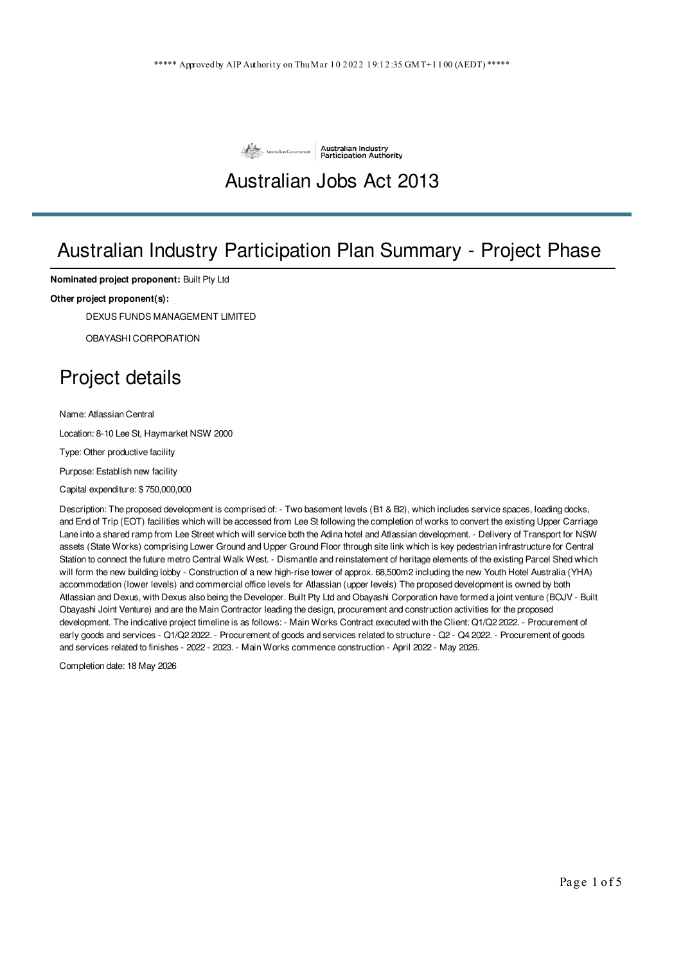

#### Australian Jobs Act 2013

### Australian Industry Participation Plan Summary - Project Phase

**Nominated project proponent:** Built Pty Ltd

#### **Other project proponent(s):**

DEXUS FUNDS MANAGEMENT LIMITED

OBAYASHI CORPORATION

### Project details

Name: Atlassian Central

Location: 8-10 Lee St, Haymarket NSW 2000

Type: Other productive facility

Purpose: Establish new facility

Capital expenditure: \$ 750,000,000

Description: The proposed development is comprised of: - Two basement levels (B1 & B2), which includes service spaces, loading docks, and End of Trip (EOT) facilities which will be accessed from Lee St following the completion of works to convert the existing Upper Carriage Lane into a shared ramp from Lee Street which will service both the Adina hotel and Atlassian development. - Delivery of Transport for NSW assets (State Works) comprising Lower Ground and Upper Ground Floor through site link which is key pedestrian infrastructure for Central Station to connect the future metro Central Walk West. - Dismantle and reinstatement of heritage elements of the existing Parcel Shed which will form the new building lobby - Construction of a new high-rise tower of approx. 68,500m2 including the new Youth Hotel Australia (YHA) accommodation (lower levels) and commercial office levels for Atlassian (upper levels) The proposed development is owned by both Atlassian and Dexus, with Dexus also being the Developer. Built Pty Ltd and Obayashi Corporation have formed a joint venture (BOJV - Built Obayashi Joint Venture) and are the Main Contractor leading the design, procurement and construction activities for the proposed development. The indicative project timeline is as follows: - Main Works Contract executed with the Client: Q1/Q2 2022. - Procurement of early goods and services - Q1/Q2 2022. - Procurement of goods and services related to structure - Q2 - Q4 2022. - Procurement of goods and services related to finishes - 2022 - 2023. - Main Works commence construction - April 2022 - May 2026.

Completion date: 18 May 2026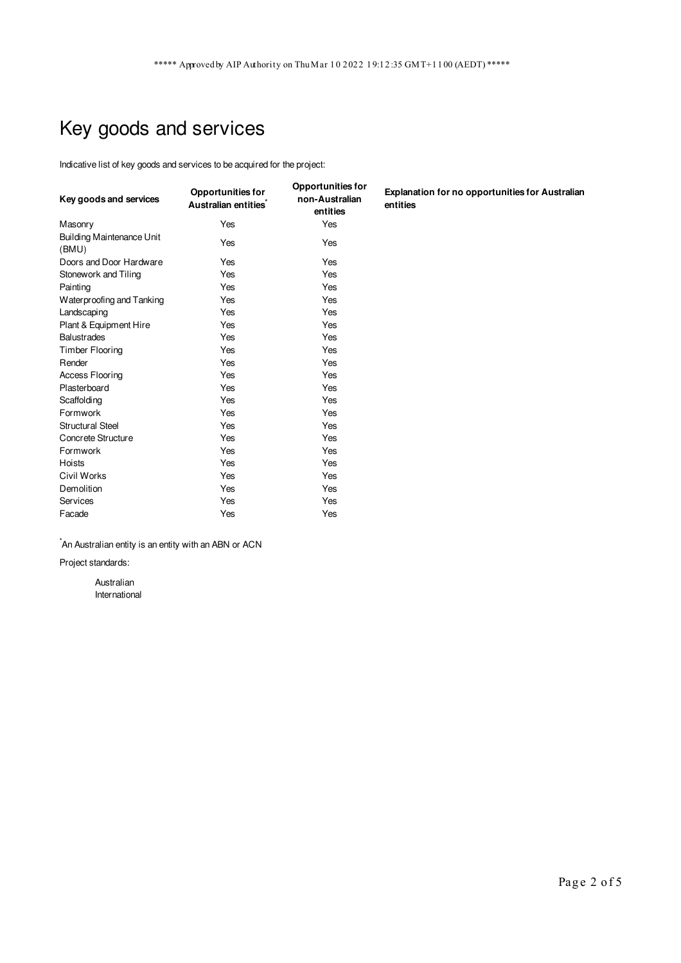# Key goods and services

Indicative list of key goods and services to be acquired for the project:

| Key goods and services                    | <b>Opportunities for</b><br>Australian entities <sup>*</sup> | <b>Opportunities for</b><br>non-Australian<br>entities | <b>Explanation for no opportunities for Australian</b><br>entities |
|-------------------------------------------|--------------------------------------------------------------|--------------------------------------------------------|--------------------------------------------------------------------|
| Masonry                                   | Yes                                                          | Yes                                                    |                                                                    |
| <b>Building Maintenance Unit</b><br>(BMU) | Yes                                                          | Yes                                                    |                                                                    |
| Doors and Door Hardware                   | Yes                                                          | Yes                                                    |                                                                    |
| Stonework and Tiling                      | Yes                                                          | Yes                                                    |                                                                    |
| Painting                                  | Yes                                                          | Yes                                                    |                                                                    |
| Waterproofing and Tanking                 | Yes                                                          | Yes                                                    |                                                                    |
| Landscaping                               | Yes                                                          | Yes                                                    |                                                                    |
| Plant & Equipment Hire                    | Yes                                                          | Yes                                                    |                                                                    |
| <b>Balustrades</b>                        | Yes                                                          | Yes                                                    |                                                                    |
| Timber Flooring                           | Yes                                                          | Yes                                                    |                                                                    |
| Render                                    | Yes                                                          | Yes                                                    |                                                                    |
| <b>Access Flooring</b>                    | Yes                                                          | Yes                                                    |                                                                    |
| Plasterboard                              | Yes                                                          | Yes                                                    |                                                                    |
| Scaffolding                               | Yes                                                          | Yes                                                    |                                                                    |
| Formwork                                  | Yes                                                          | Yes                                                    |                                                                    |
| <b>Structural Steel</b>                   | Yes                                                          | Yes                                                    |                                                                    |
| Concrete Structure                        | Yes                                                          | Yes                                                    |                                                                    |
| Formwork                                  | Yes                                                          | Yes                                                    |                                                                    |
| Hoists                                    | Yes                                                          | Yes                                                    |                                                                    |
| Civil Works                               | Yes                                                          | Yes                                                    |                                                                    |
| Demolition                                | Yes                                                          | Yes                                                    |                                                                    |
| Services                                  | Yes                                                          | Yes                                                    |                                                                    |
| Facade                                    | Yes                                                          | Yes                                                    |                                                                    |

 $\hat{}$ An Australian entity is an entity with an ABN or ACN

Project standards:

Australian International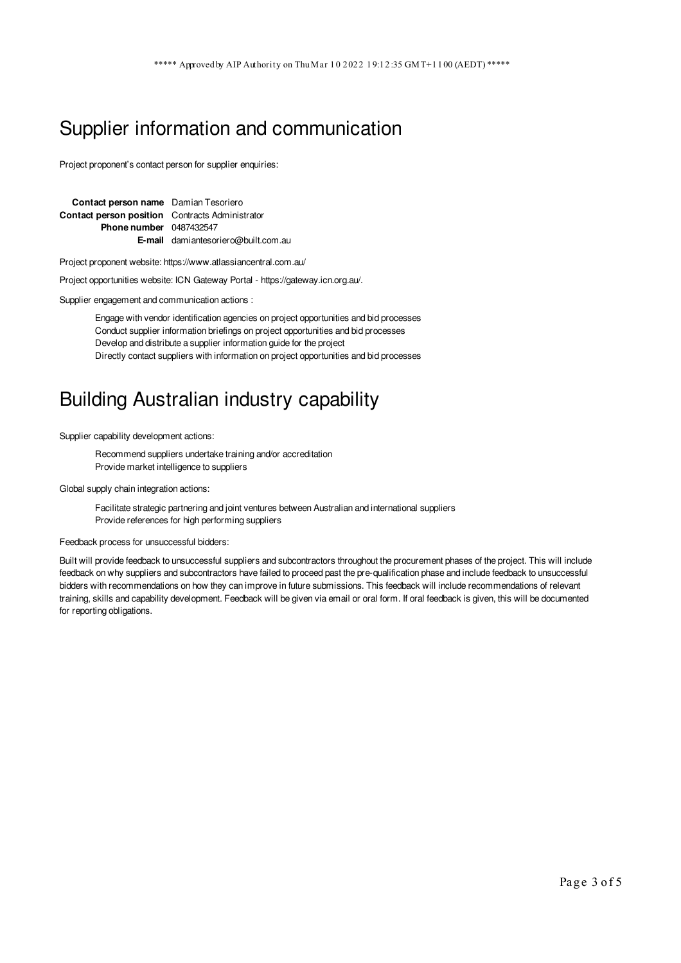### Supplier information and communication

Project proponent's contact person for supplier enquiries:

| Contact person name Damian Tesoriero                   |                                            |  |
|--------------------------------------------------------|--------------------------------------------|--|
| <b>Contact person position</b> Contracts Administrator |                                            |  |
| <b>Phone number</b> 0487432547                         |                                            |  |
|                                                        | <b>E-mail</b> damiantesoriero@built.com.au |  |

Project proponent website: https://www.atlassiancentral.com.au/

Project opportunities website: ICN Gateway Portal - https://gateway.icn.org.au/.

Supplier engagement and communication actions :

Engage with vendor identification agencies on project opportunities and bid processes Conduct supplier information briefings on project opportunities and bid processes Develop and distribute a supplier information guide for the project Directly contact suppliers with information on project opportunities and bid processes

#### Building Australian industry capability

Supplier capability development actions:

Recommend suppliers undertake training and/or accreditation Provide market intelligence to suppliers

Global supply chain integration actions:

Facilitate strategic partnering and joint ventures between Australian and international suppliers Provide references for high performing suppliers

Feedback process for unsuccessful bidders:

Built will provide feedback to unsuccessful suppliers and subcontractors throughout the procurement phases of the project. This will include feedback on why suppliers and subcontractors have failed to proceed past the pre-qualification phase and include feedback to unsuccessful bidders with recommendations on how they can improve in future submissions. This feedback will include recommendations of relevant training, skills and capability development. Feedback will be given via email or oral form. If oral feedback is given, this will be documented for reporting obligations.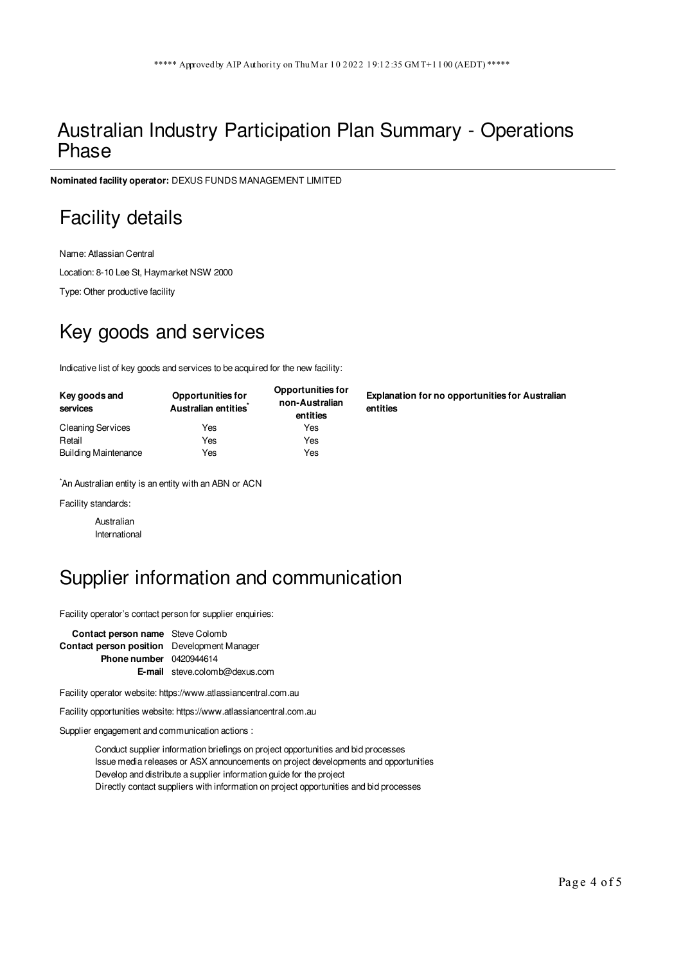#### Australian Industry Participation Plan Summary - Operations Phase

**Nominated facility operator:** DEXUS FUNDS MANAGEMENT LIMITED

## Facility details

Name: Atlassian Central Location: 8-10 Lee St, Haymarket NSW 2000

Type: Other productive facility

# Key goods and services

Indicative list of key goods and services to be acquired for the new facility:

| Key goods and<br>services   | <b>Opportunities for</b><br>Australian entities <sup>*</sup> | <b>Opportunities for</b><br>non-Australian<br>entities |
|-----------------------------|--------------------------------------------------------------|--------------------------------------------------------|
| <b>Cleaning Services</b>    | Yes                                                          | Yes                                                    |
| Retail                      | Yes                                                          | Yes                                                    |
| <b>Building Maintenance</b> | Yes                                                          | Yes                                                    |

\*An Australian entity is an entity with an ABN or ACN

Facility standards:

Australian International

# Supplier information and communication

Facility operator's contact person for supplier enquiries:

**Contact person name** Steve Colomb **Contact person position** Development Manager **Phone number** 0420944614 **E-mail** steve.colomb@dexus.com

Facility operator website: https://www.atlassiancentral.com.au

Facility opportunities website: https://www.atlassiancentral.com.au

Supplier engagement and communication actions :

Conduct supplier information briefings on project opportunities and bid processes Issue media releases or ASX announcements on project developments and opportunities Develop and distribute a supplier information guide for the project Directly contact suppliers with information on project opportunities and bid processes

**Explanation for no opportunities for Australian entities**